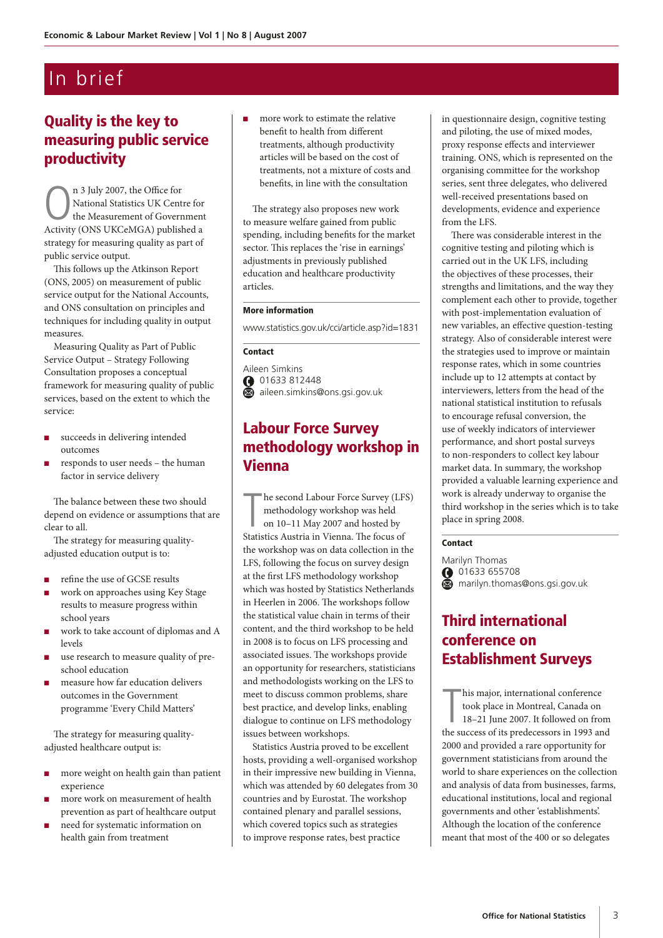# In brief

## Quality is the key to measuring public service productivity

 $\bigcap_{k=1}^{n}$  3 July 2007, the Office for<br>National Statistics UK Cents<br>Activity (ONS HKCeMGA) published National Statistics UK Centre for the Measurement of Government Activity (ONS UKCeMGA) published a strategy for measuring quality as part of public service output.

This follows up the Atkinson Report (ONS, 2005) on measurement of public service output for the National Accounts, and ONS consultation on principles and techniques for including quality in output measures.

Measuring Quality as Part of Public Service Output – Strategy Following Consultation proposes a conceptual framework for measuring quality of public services, based on the extent to which the service:

- succeeds in delivering intended outcomes
- responds to user needs the human factor in service delivery

The balance between these two should depend on evidence or assumptions that are clear to all.

The strategy for measuring qualityadjusted education output is to:

- <sup>n</sup> refine the use of GCSE results
- work on approaches using Key Stage results to measure progress within school years
- work to take account of diplomas and A levels
- use research to measure quality of preschool education
- measure how far education delivers outcomes in the Government programme 'Every Child Matters'

The strategy for measuring qualityadjusted healthcare output is:

- more weight on health gain than patient experience
- more work on measurement of health prevention as part of healthcare output
- need for systematic information on health gain from treatment

<sup>n</sup> more work to estimate the relative benefit to health from different treatments, although productivity articles will be based on the cost of treatments, not a mixture of costs and benefits, in line with the consultation

The strategy also proposes new work to measure welfare gained from public spending, including benefits for the market sector. This replaces the 'rise in earnings' adjustments in previously published education and healthcare productivity articles.

### More information

www.statistics.gov.uk/cci/article.asp?id=1831

### Contact

Aileen Simkins 01633 812448 aileen.simkins@ons.gsi.gov.uk

### Labour Force Survey methodology workshop in Vienna

The second Labour Force Survey (LF methodology workshop was held<br>on 10–11 May 2007 and hosted by<br>Statistics Austria in Vienna. The focus of he second Labour Force Survey (LFS) methodology workshop was held on 10–11 May 2007 and hosted by the workshop was on data collection in the LFS, following the focus on survey design at the first LFS methodology workshop which was hosted by Statistics Netherlands in Heerlen in 2006. The workshops follow the statistical value chain in terms of their content, and the third workshop to be held in 2008 is to focus on LFS processing and associated issues. The workshops provide an opportunity for researchers, statisticians and methodologists working on the LFS to meet to discuss common problems, share best practice, and develop links, enabling dialogue to continue on LFS methodology issues between workshops.

Statistics Austria proved to be excellent hosts, providing a well-organised workshop in their impressive new building in Vienna, which was attended by 60 delegates from 30 countries and by Eurostat. The workshop contained plenary and parallel sessions, which covered topics such as strategies to improve response rates, best practice

in questionnaire design, cognitive testing and piloting, the use of mixed modes, proxy response effects and interviewer training. ONS, which is represented on the organising committee for the workshop series, sent three delegates, who delivered well-received presentations based on developments, evidence and experience from the LFS.

There was considerable interest in the cognitive testing and piloting which is carried out in the UK LFS, including the objectives of these processes, their strengths and limitations, and the way they complement each other to provide, together with post-implementation evaluation of new variables, an effective question-testing strategy. Also of considerable interest were the strategies used to improve or maintain response rates, which in some countries include up to 12 attempts at contact by interviewers, letters from the head of the national statistical institution to refusals to encourage refusal conversion, the use of weekly indicators of interviewer performance, and short postal surveys to non-responders to collect key labour market data. In summary, the workshop provided a valuable learning experience and work is already underway to organise the third workshop in the series which is to take place in spring 2008.

### Contact

Marilyn Thomas 01633 655708 marilyn.thomas@ons.gsi.gov.uk

### Third international conference on Establishment Surveys

This major, international conference<br>took place in Montreal, Canada on<br>18–21 June 2007. It followed on from<br>the success of its predecessors in 1993 and his major, international conference took place in Montreal, Canada on 18–21 June 2007. It followed on from 2000 and provided a rare opportunity for government statisticians from around the world to share experiences on the collection and analysis of data from businesses, farms, educational institutions, local and regional governments and other 'establishments'. Although the location of the conference meant that most of the 400 or so delegates